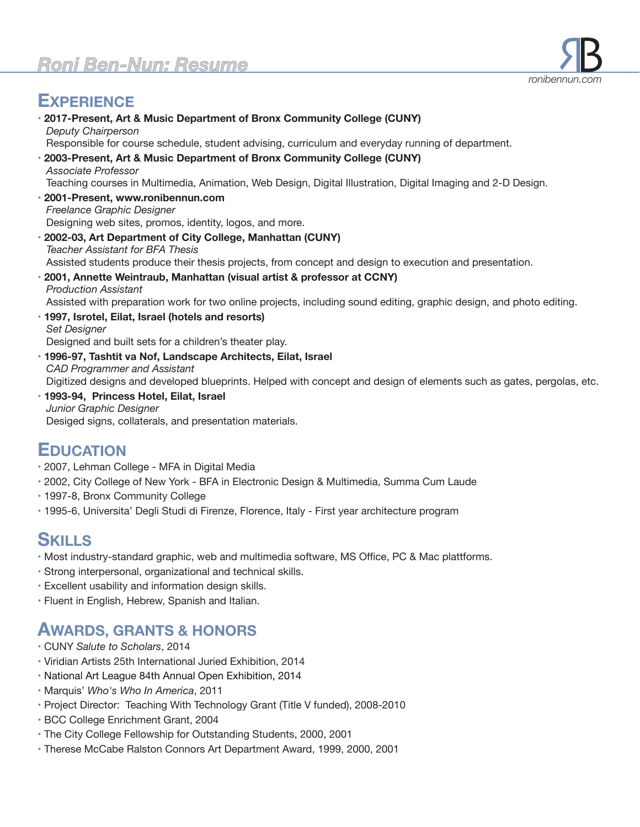# **EXPERIENCE**

• **2017-Present, Art & Music Department of Bronx Community College (CUNY)**  *Deputy Chairperson* Responsible for course schedule, student advising, curriculum and everyday running of department. • **2003-Present, Art & Music Department of Bronx Community College (CUNY)**  *Associate Professor* Teaching courses in Multimedia, Animation, Web Design, Digital Illustration, Digital Imaging and 2-D Design. • **2001-Present, www.ronibennun.com** *Freelance Graphic Designer* Designing web sites, promos, identity, logos, and more. • **2002-03, Art Department of City College, Manhattan (CUNY)**  *Teacher Assistant for BFA Thesis* Assisted students produce their thesis projects, from concept and design to execution and presentation. • **2001, Annette Weintraub, Manhattan (visual artist & professor at CCNY)**  *Production Assistant* Assisted with preparation work for two online projects, including sound editing, graphic design, and photo editing. • **1997, Isrotel, Eilat, Israel (hotels and resorts)**   *Set Designer* Designed and built sets for a children's theater play. • **1996-97, Tashtit va Nof, Landscape Architects, Eilat, Israel**   *CAD Programmer and Assistant* Digitized designs and developed blueprints. Helped with concept and design of elements such as gates, pergolas, etc. • **1993-94, Princess Hotel, Eilat, Israel**   *Junior Graphic Designer*

Desiged signs, collaterals, and presentation materials.

## **EDUCATION**

- 2007, Lehman College MFA in Digital Media
- 2002, City College of New York BFA in Electronic Design & Multimedia, Summa Cum Laude
- 1997-8, Bronx Community College
- 1995-6, Universita' Degli Studi di Firenze, Florence, Italy First year architecture program

## **SKILLS**

- Most industry-standard graphic, web and multimedia software, MS Office, PC & Mac plattforms.
- Strong interpersonal, organizational and technical skills.
- Excellent usability and information design skills.
- Fluent in English, Hebrew, Spanish and Italian.

### **AWARDS, GRANTS & HONORS**

- CUNY *Salute to Scholars*, 2014
- Viridian Artists 25th International Juried Exhibition, 2014
- National Art League 84th Annual Open Exhibition, 2014
- Marquis' *Who's Who In America*, 2011
- Project Director: Teaching With Technology Grant (Title V funded), 2008-2010
- BCC College Enrichment Grant, 2004
- The City College Fellowship for Outstanding Students, 2000, 2001
- Therese McCabe Ralston Connors Art Department Award, 1999, 2000, 2001